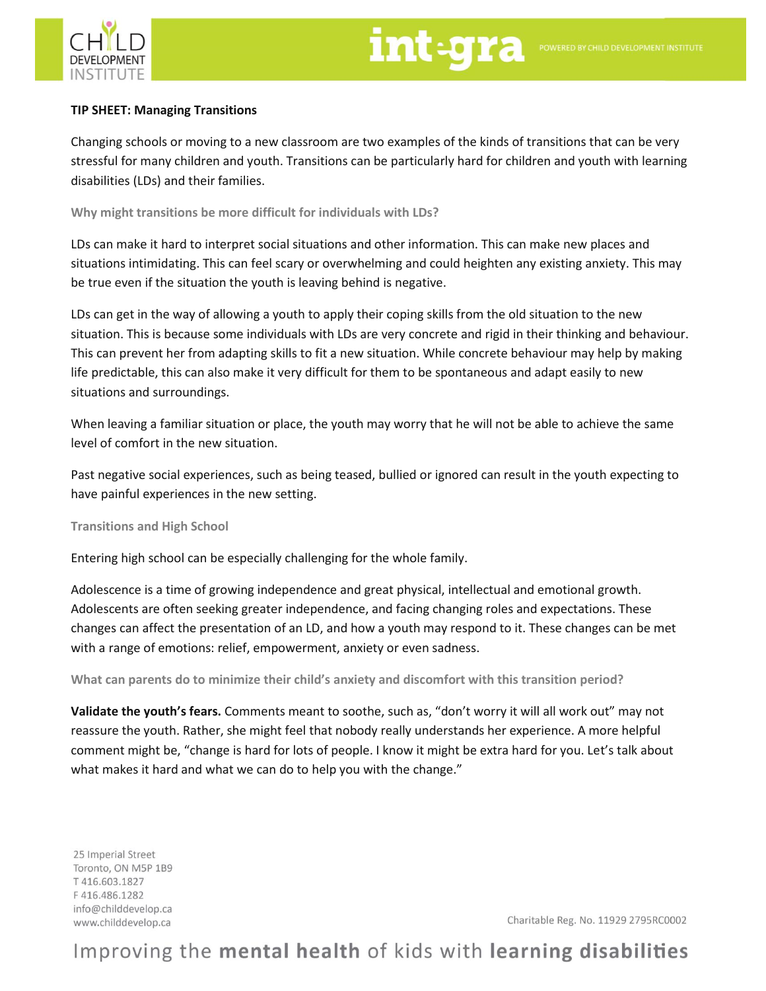

## **TIP SHEET: Managing Transitions**

Changing schools or moving to a new classroom are two examples of the kinds of transitions that can be very stressful for many children and youth. Transitions can be particularly hard for children and youth with learning disabilities (LDs) and their families.

**Why might transitions be more difficult for individuals with LDs?**

LDs can make it hard to interpret social situations and other information. This can make new places and situations intimidating. This can feel scary or overwhelming and could heighten any existing anxiety. This may be true even if the situation the youth is leaving behind is negative.

LDs can get in the way of allowing a youth to apply their coping skills from the old situation to the new situation. This is because some individuals with LDs are very concrete and rigid in their thinking and behaviour. This can prevent her from adapting skills to fit a new situation. While concrete behaviour may help by making life predictable, this can also make it very difficult for them to be spontaneous and adapt easily to new situations and surroundings.

When leaving a familiar situation or place, the youth may worry that he will not be able to achieve the same level of comfort in the new situation.

Past negative social experiences, such as being teased, bullied or ignored can result in the youth expecting to have painful experiences in the new setting.

**Transitions and High School**

Entering high school can be especially challenging for the whole family.

Adolescence is a time of growing independence and great physical, intellectual and emotional growth. Adolescents are often seeking greater independence, and facing changing roles and expectations. These changes can affect the presentation of an LD, and how a youth may respond to it. These changes can be met with a range of emotions: relief, empowerment, anxiety or even sadness.

**What can parents do to minimize their child's anxiety and discomfort with this transition period?**

**Validate the youth's fears.** Comments meant to soothe, such as, "don't worry it will all work out" may not reassure the youth. Rather, she might feel that nobody really understands her experience. A more helpful comment might be, "change is hard for lots of people. I know it might be extra hard for you. Let's talk about what makes it hard and what we can do to help you with the change."

25 Imperial Street Toronto, ON M5P 1B9 T416.603.1827 F416.486.1282 info@childdevelop.ca www.childdevelop.ca

Charitable Reg. No. 11929 2795RC0002

## Improving the mental health of kids with learning disabilities